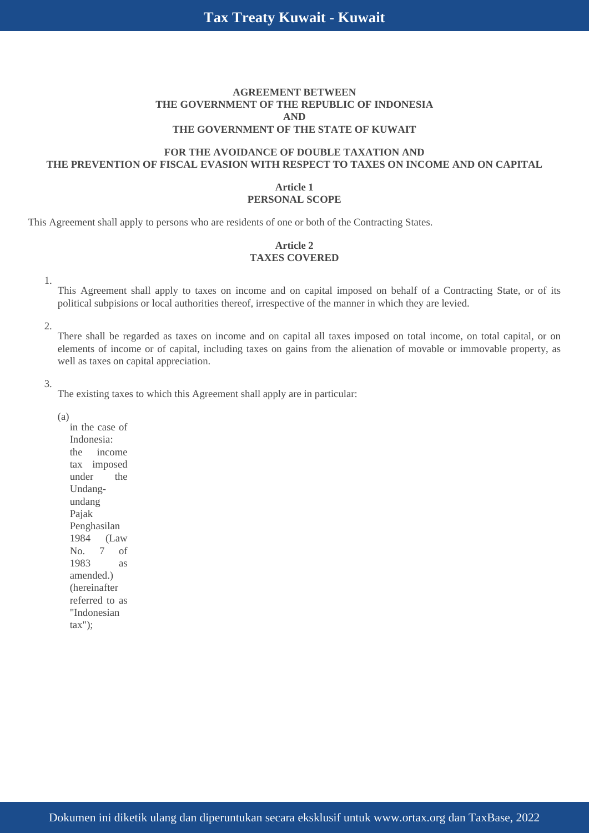# **AGREEMENT BETWEEN THE GOVERNMENT OF THE REPUBLIC OF INDONESIA AND THE GOVERNMENT OF THE STATE OF KUWAIT**

# **FOR THE AVOIDANCE OF DOUBLE TAXATION AND THE PREVENTION OF FISCAL EVASION WITH RESPECT TO TAXES ON INCOME AND ON CAPITAL**

## **Article 1 PERSONAL SCOPE**

This Agreement shall apply to persons who are residents of one or both of the Contracting States.

# **Article 2 TAXES COVERED**

1.

This Agreement shall apply to taxes on income and on capital imposed on behalf of a Contracting State, or of its political subpisions or local authorities thereof, irrespective of the manner in which they are levied.

2.

There shall be regarded as taxes on income and on capital all taxes imposed on total income, on total capital, or on elements of income or of capital, including taxes on gains from the alienation of movable or immovable property, as well as taxes on capital appreciation.

3.

The existing taxes to which this Agreement shall apply are in particular:

(a)

in the case of Indonesia: the income tax imposed under the Undangundang Pajak Penghasilan 1984 (Law No. 7 of 1983 as amended.) (hereinafter referred to as "Indonesian tax");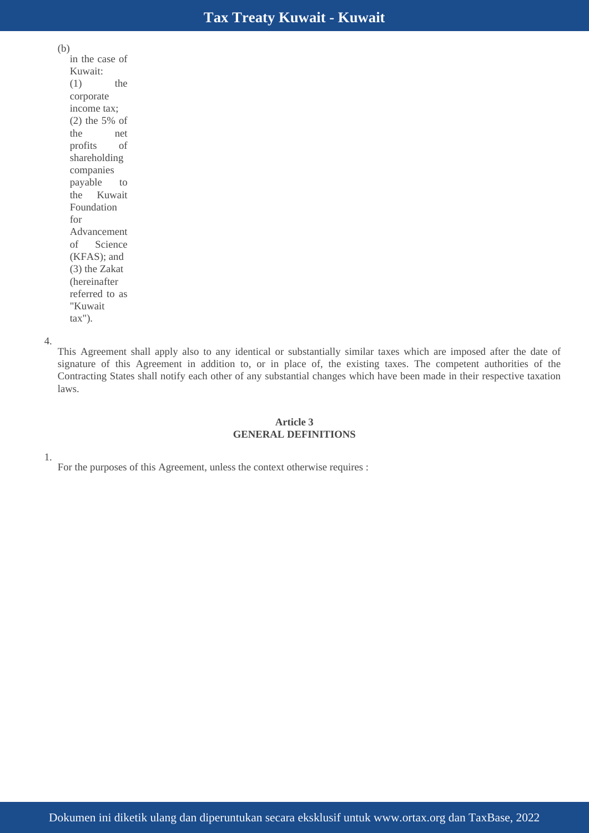(b) in the case of Kuwait:  $(1)$  the corporate income tax; (2) the 5% of the net profits of shareholding companies payable to the Kuwait Foundation for Advancement of Science (KFAS); and (3) the Zakat (hereinafter referred to as "Kuwait tax").

4.

This Agreement shall apply also to any identical or substantially similar taxes which are imposed after the date of signature of this Agreement in addition to, or in place of, the existing taxes. The competent authorities of the Contracting States shall notify each other of any substantial changes which have been made in their respective taxation laws.

# **Article 3 GENERAL DEFINITIONS**

1.

For the purposes of this Agreement, unless the context otherwise requires :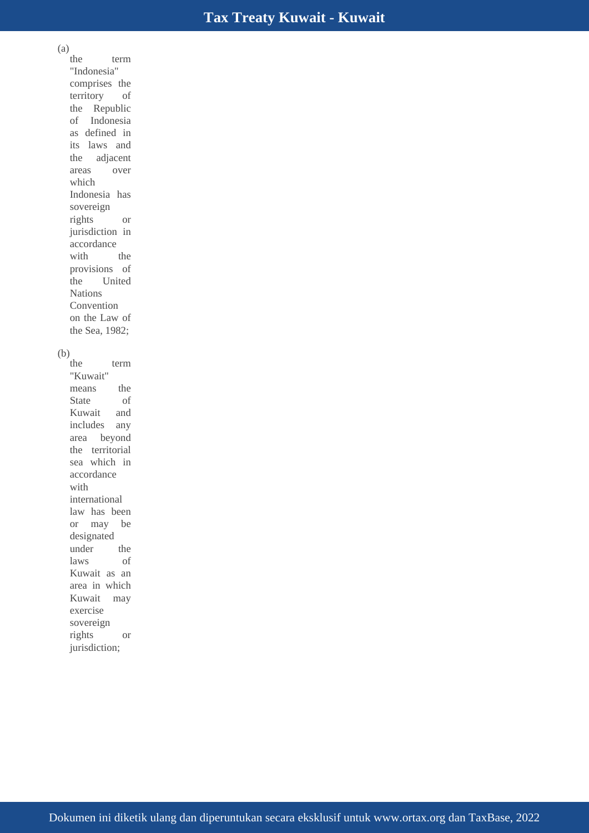(a) term "Indonesia" comprises the territory of the Republic of Indonesia as defined in its laws and the adjacent areas over which Indonesia has sovereign rights or jurisdiction in accordance with the provisions of the United Nations Convention on the Law of the Sea, 1982;

# (b)

term "Kuwait" means the State of Kuwait and includes any area beyond the territorial sea which in accordance with international law has been or may be designated under the laws of Kuwait as an area in which Kuwait may exercise sovereign rights or jurisdiction;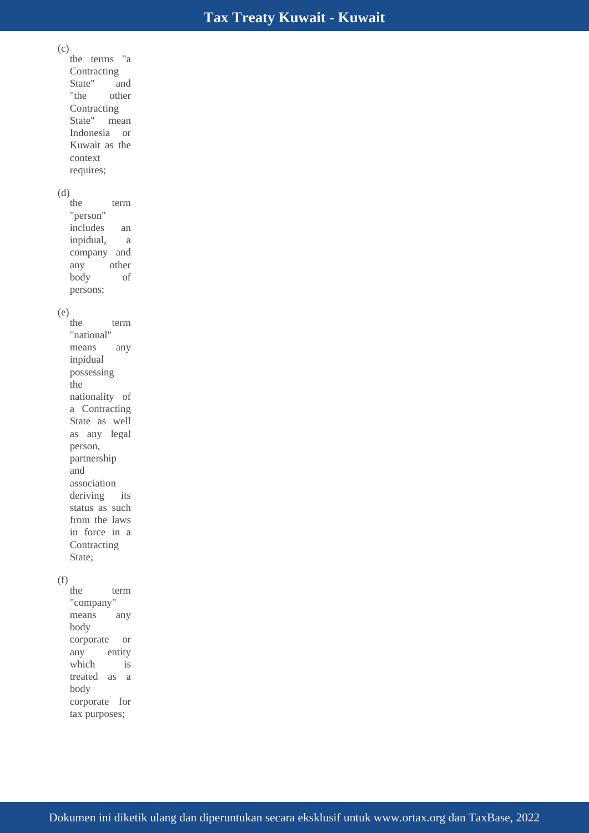(c) the terms "a Contracting State" and "the other Contracting State" mean Indonesia or Kuwait as the context requires;

(d) term "person" includes an inpidual, a company and any other body of persons;

# (e)

term "national" means any inpidual possessing the nationality of a Contracting State as well as any legal person, partnership and association deriving its status as such from the laws in force in a Contracting State;

(f) term "company" means any body corporate or any entity which is treated as a body corporate for tax purposes;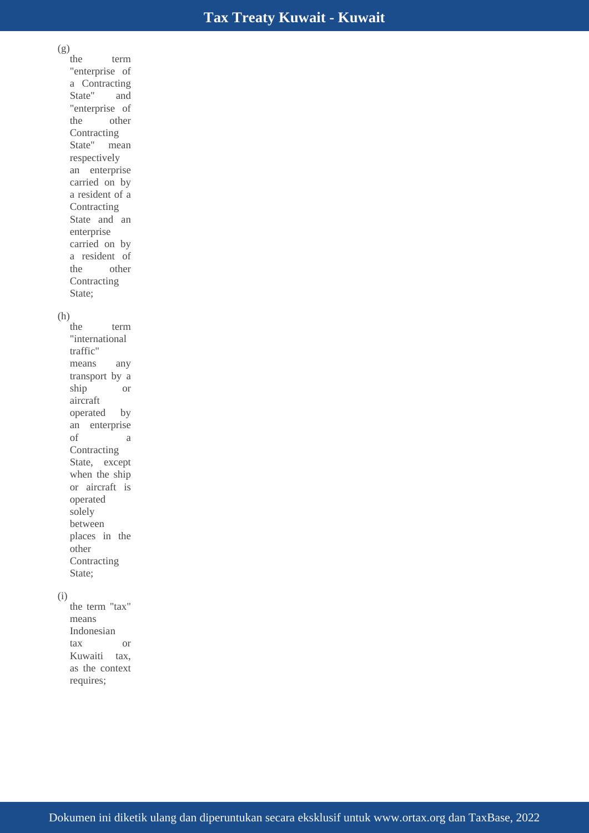$(g)$ <br>the term "enterprise of a Contracting State" and "enterprise of the other Contracting State" mean respectively an enterprise carried on by a resident of a Contracting State and an enterprise carried on by a resident of the other Contracting State;

# (h)

term "international traffic" means any transport by a ship or aircraft operated by an enterprise of a Contracting State, except when the ship or aircraft is operated solely between places in the other Contracting State;

### (i)

the term "tax" means Indonesian tax or Kuwaiti tax, as the context requires;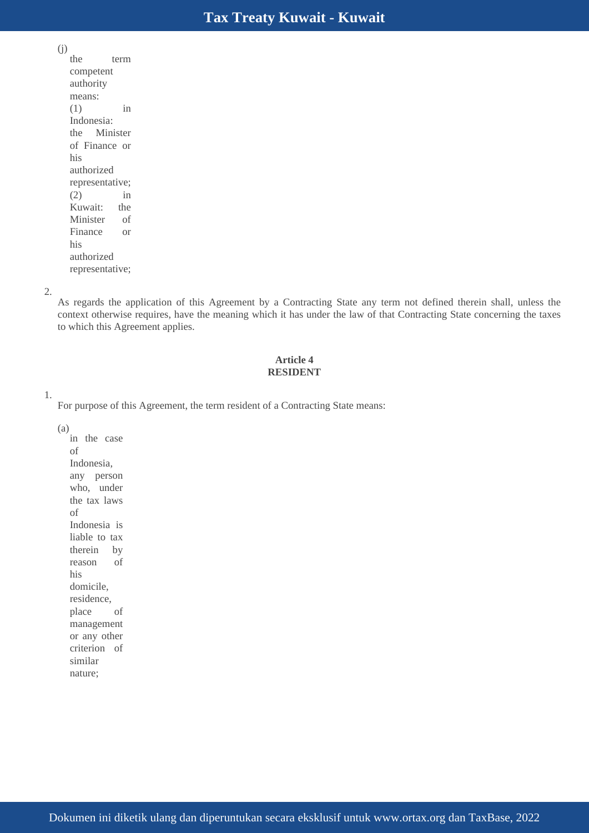(j) the term competent authority means:  $(1)$  in Indonesia: the Minister of Finance or his authorized representative;  $(2)$  in Kuwait: the Minister of Finance or his authorized representative;

2.

As regards the application of this Agreement by a Contracting State any term not defined therein shall, unless the context otherwise requires, have the meaning which it has under the law of that Contracting State concerning the taxes to which this Agreement applies.

# **Article 4 RESIDENT**

1.

For purpose of this Agreement, the term resident of a Contracting State means:

(a)

in the case of Indonesia, any person who, under the tax laws of Indonesia is liable to tax therein by reason of his domicile, residence, place of management or any other criterion of similar nature;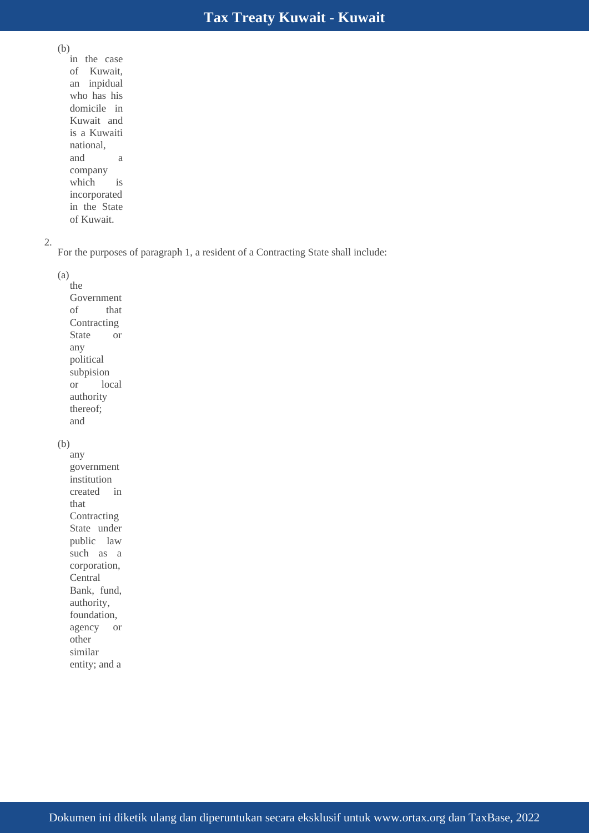(b)

in the case of Kuwait, an inpidual who has his domicile in Kuwait and is a Kuwaiti national, and a company which is incorporated in the State of Kuwait.

### 2.

For the purposes of paragraph 1, a resident of a Contracting State shall include:

(a)

the Government of that Contracting State or any political subpision or local authority thereof; and

### (b)

any government institution created in that Contracting State under public law such as a corporation, Central Bank, fund, authority, foundation, agency or other similar entity; and a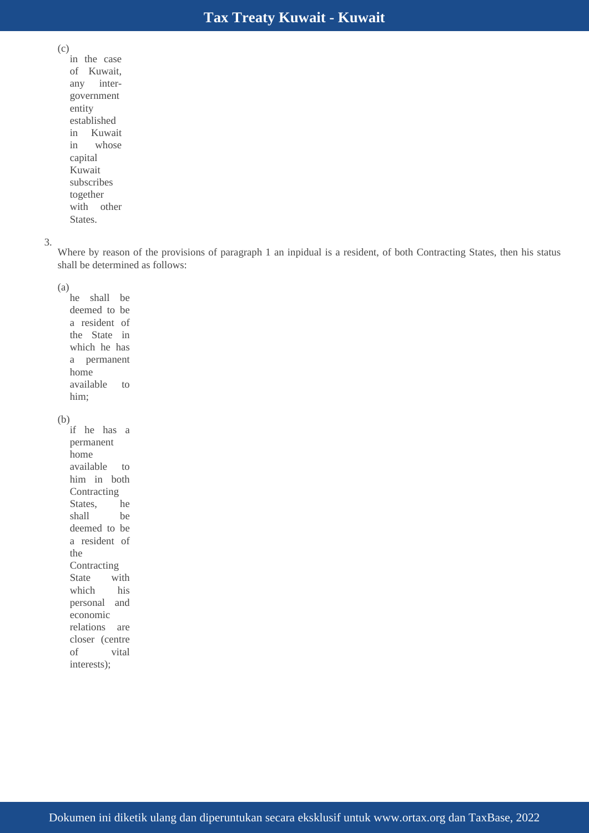(c) in the case of Kuwait, any intergovernment entity established in Kuwait in whose capital Kuwait subscribes together with other States.

### 3.

Where by reason of the provisions of paragraph 1 an inpidual is a resident, of both Contracting States, then his status shall be determined as follows:

(a)

he shall be deemed to be a resident of the State in which he has a permanent home available to him;

(b)

if he has a permanent home available to him in both Contracting<br>States, he States, shall be deemed to be a resident of the Contracting State with which his personal and economic relations are closer (centre of vital interests);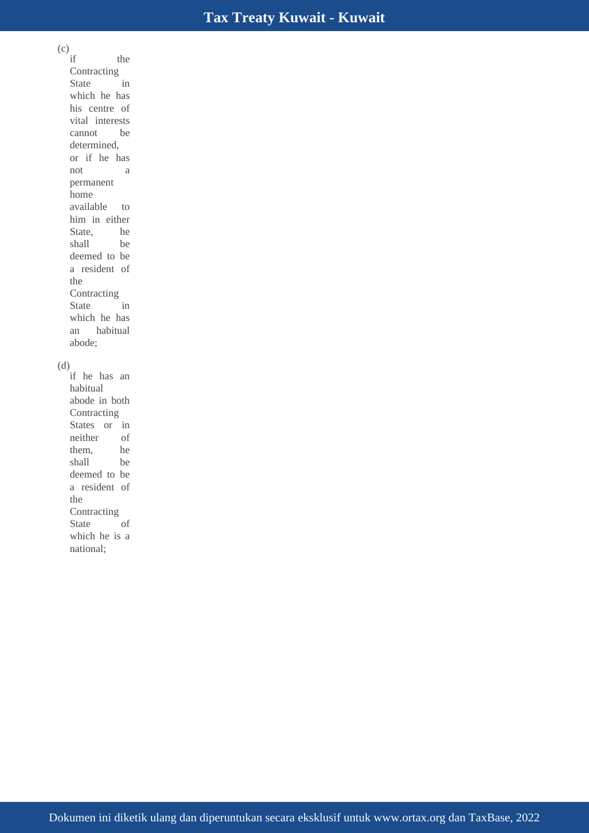$(c)$  if the Contracting State in which he has his centre of vital interests cannot be determined, or if he has not a permanent home available to him in either State, he shall be deemed to be a resident of the Contracting State in which he has an habitual abode;

## (d)

if he has an habitual abode in both Contracting States or in neither of them, he shall be deemed to be a resident of the Contracting State of which he is a national;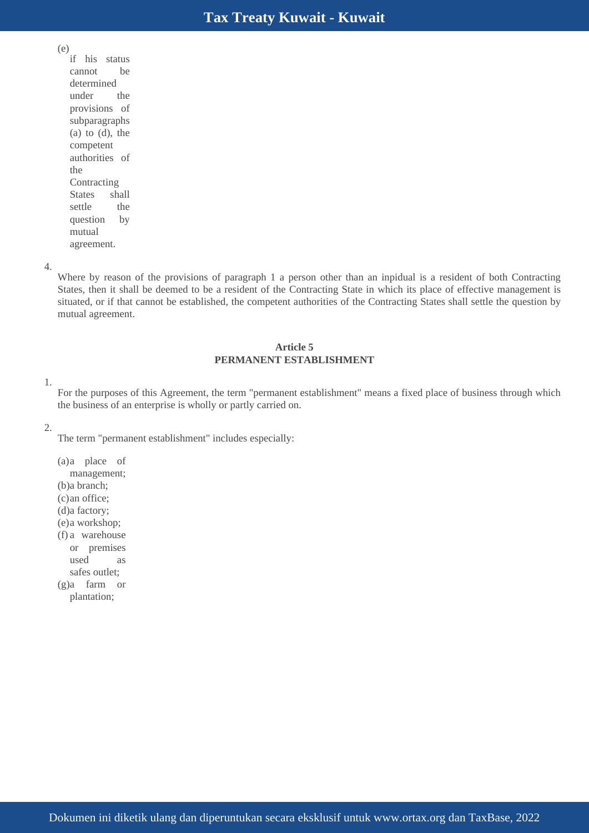(e) if his status cannot be determined under the provisions of subparagraphs (a) to (d), the competent authorities of the Contracting States shall settle the question by mutual agreement.

4.

Where by reason of the provisions of paragraph 1 a person other than an inpidual is a resident of both Contracting States, then it shall be deemed to be a resident of the Contracting State in which its place of effective management is situated, or if that cannot be established, the competent authorities of the Contracting States shall settle the question by mutual agreement.

# **Article 5 PERMANENT ESTABLISHMENT**

1.

For the purposes of this Agreement, the term "permanent establishment" means a fixed place of business through which the business of an enterprise is wholly or partly carried on.

### 2.

The term "permanent establishment" includes especially:

(a)a place of management; (b)a branch; (c)an office; (d)a factory; (e)a workshop; (f) a warehouse or premises used as safes outlet; (g)a farm or plantation;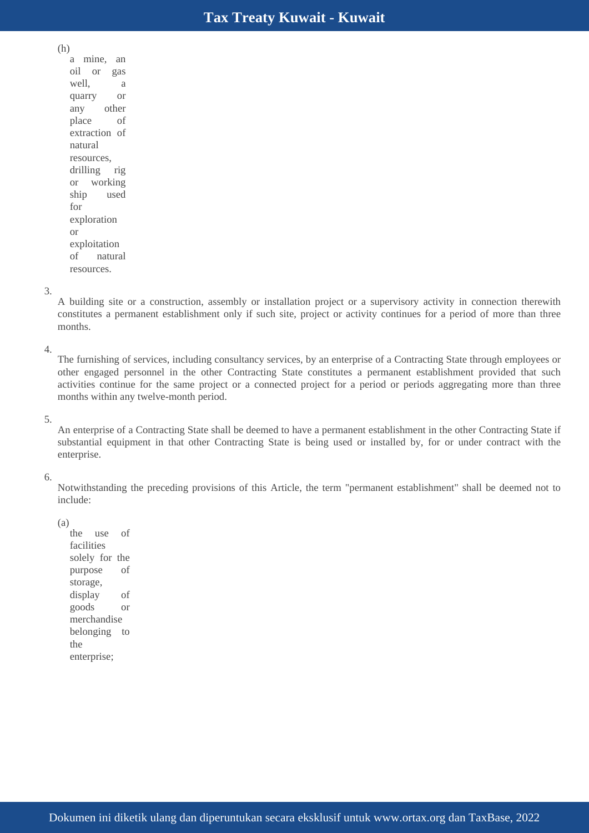(h) a mine, an oil or gas well, a quarry or any other place of extraction of natural resources, drilling rig or working ship used for exploration or exploitation of natural resources.

#### 3.

A building site or a construction, assembly or installation project or a supervisory activity in connection therewith constitutes a permanent establishment only if such site, project or activity continues for a period of more than three months.

#### 4.

The furnishing of services, including consultancy services, by an enterprise of a Contracting State through employees or other engaged personnel in the other Contracting State constitutes a permanent establishment provided that such activities continue for the same project or a connected project for a period or periods aggregating more than three months within any twelve-month period.

#### 5.

An enterprise of a Contracting State shall be deemed to have a permanent establishment in the other Contracting State if substantial equipment in that other Contracting State is being used or installed by, for or under contract with the enterprise.

### 6.

Notwithstanding the preceding provisions of this Article, the term "permanent establishment" shall be deemed not to include:

### (a)

the use of facilities solely for the purpose of storage, display of goods or merchandise belonging to the enterprise;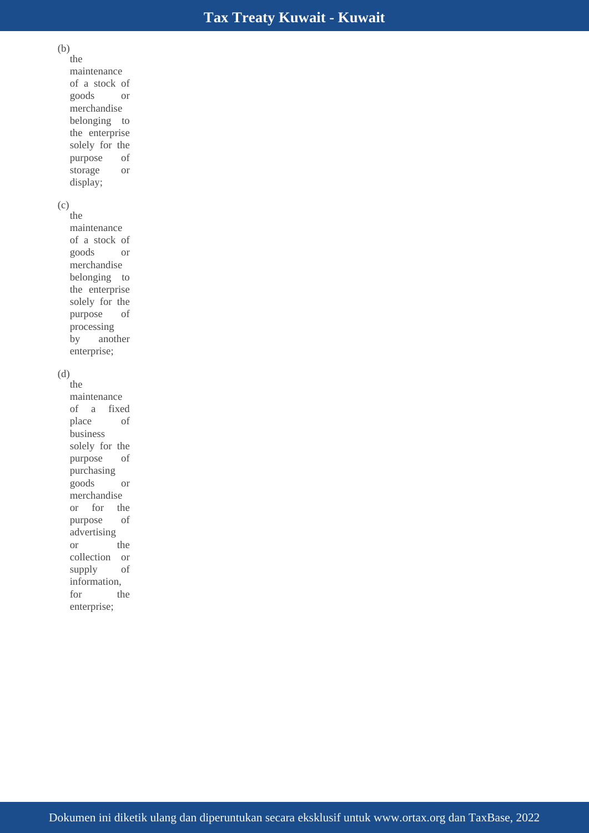(b)

the maintenance of a stock of goods or merchandise belonging to the enterprise solely for the purpose of storage or display;

# $(c)$

the maintenance of a stock of goods or merchandise belonging to the enterprise solely for the purpose of processing by another enterprise;

### (d)

the maintenance of a fixed place of business solely for the purpose of purchasing goods or merchandise or for the purpose of advertising or the collection or supply of information, for the enterprise;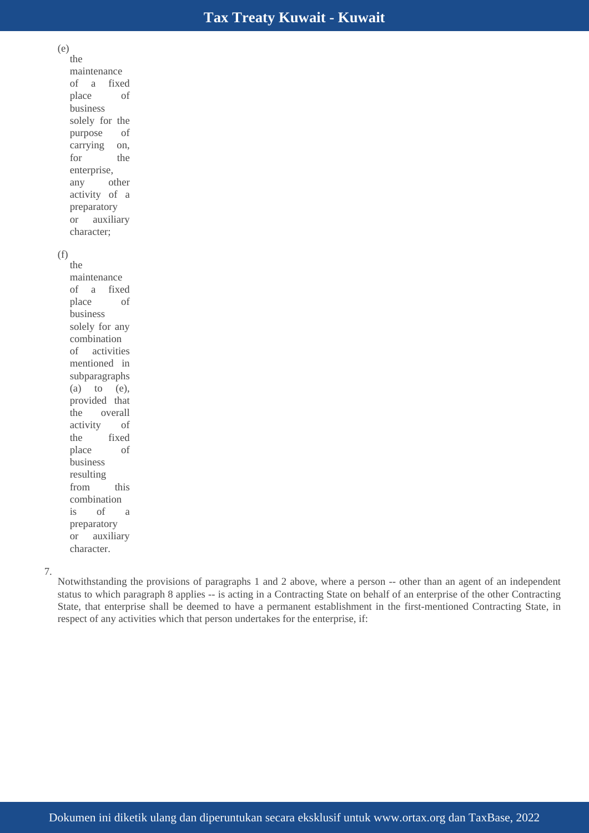the maintenance of a fixed place of business solely for the purpose of carrying on, for the enterprise, any other activity of a preparatory or auxiliary character;

### (f)

(e)

the maintenance of a fixed place of business solely for any combination of activities mentioned in subparagraphs (a) to (e), provided that the overall activity of the fixed place of business resulting from this combination is of a preparatory or auxiliary character.

#### 7.

Notwithstanding the provisions of paragraphs 1 and 2 above, where a person -- other than an agent of an independent status to which paragraph 8 applies -- is acting in a Contracting State on behalf of an enterprise of the other Contracting State, that enterprise shall be deemed to have a permanent establishment in the first-mentioned Contracting State, in respect of any activities which that person undertakes for the enterprise, if: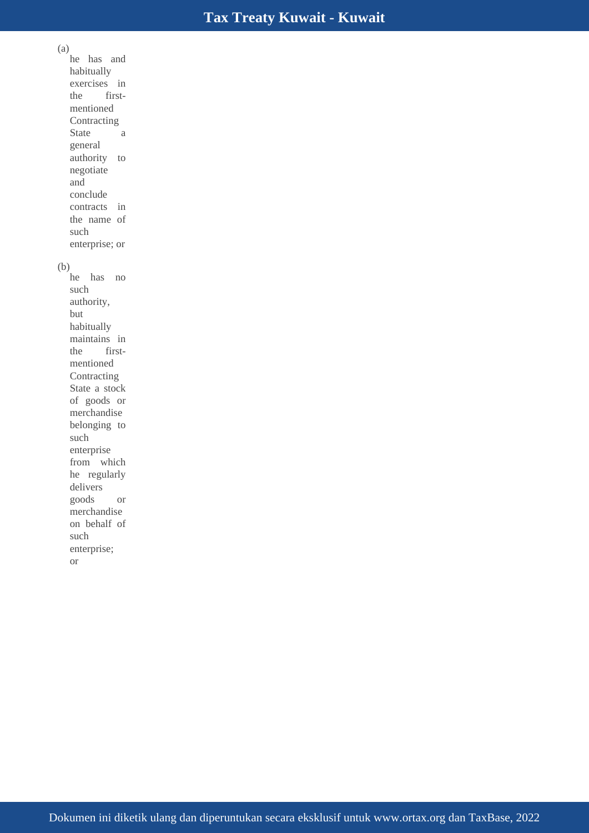he has and habitually exercises in the firstmentioned Contracting State a general authority to negotiate and conclude contracts in the name of such enterprise; or (b) he has no such authority, but habitually maintains in the firstmentioned Contracting State a stock of goods or merchandise belonging to such enterprise from which he regularly delivers goods or merchandise

on behalf of

such enterprise;

or

(a)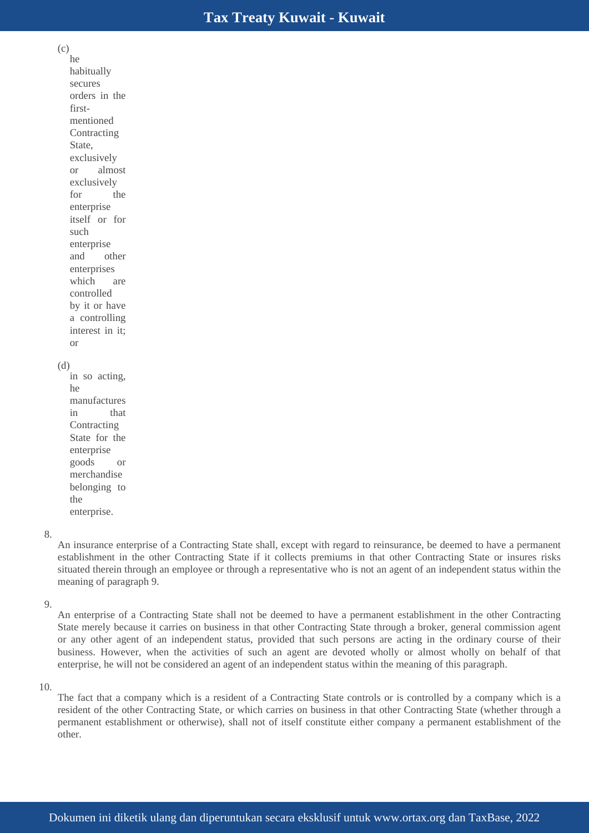(c)

he habitually secures orders in the firstmentioned **Contracting** State, exclusively or almost exclusively for the enterprise itself or for such enterprise and other enterprises which are controlled by it or have a controlling interest in it; or

### (d)

in so acting, he manufactures in that Contracting State for the enterprise goods or merchandise belonging to the enterprise.

8.

An insurance enterprise of a Contracting State shall, except with regard to reinsurance, be deemed to have a permanent establishment in the other Contracting State if it collects premiums in that other Contracting State or insures risks situated therein through an employee or through a representative who is not an agent of an independent status within the meaning of paragraph 9.

9.

An enterprise of a Contracting State shall not be deemed to have a permanent establishment in the other Contracting State merely because it carries on business in that other Contracting State through a broker, general commission agent or any other agent of an independent status, provided that such persons are acting in the ordinary course of their business. However, when the activities of such an agent are devoted wholly or almost wholly on behalf of that enterprise, he will not be considered an agent of an independent status within the meaning of this paragraph.

10.

The fact that a company which is a resident of a Contracting State controls or is controlled by a company which is a resident of the other Contracting State, or which carries on business in that other Contracting State (whether through a permanent establishment or otherwise), shall not of itself constitute either company a permanent establishment of the other.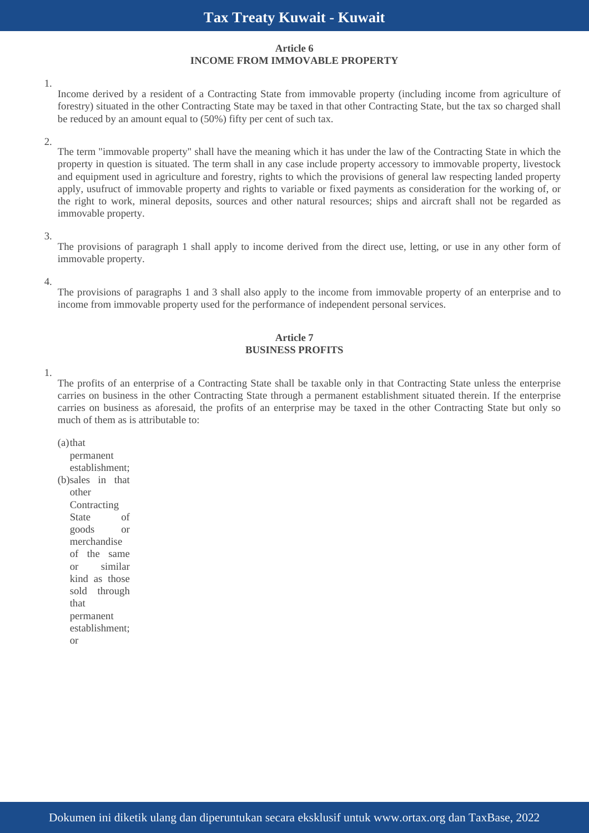# **Article 6 INCOME FROM IMMOVABLE PROPERTY**

1.

Income derived by a resident of a Contracting State from immovable property (including income from agriculture of forestry) situated in the other Contracting State may be taxed in that other Contracting State, but the tax so charged shall be reduced by an amount equal to (50%) fifty per cent of such tax.

### 2.

The term "immovable property" shall have the meaning which it has under the law of the Contracting State in which the property in question is situated. The term shall in any case include property accessory to immovable property, livestock and equipment used in agriculture and forestry, rights to which the provisions of general law respecting landed property apply, usufruct of immovable property and rights to variable or fixed payments as consideration for the working of, or the right to work, mineral deposits, sources and other natural resources; ships and aircraft shall not be regarded as immovable property.

#### 3.

The provisions of paragraph 1 shall apply to income derived from the direct use, letting, or use in any other form of immovable property.

#### 4.

The provisions of paragraphs 1 and 3 shall also apply to the income from immovable property of an enterprise and to income from immovable property used for the performance of independent personal services.

# **Article 7 BUSINESS PROFITS**

1.

The profits of an enterprise of a Contracting State shall be taxable only in that Contracting State unless the enterprise carries on business in the other Contracting State through a permanent establishment situated therein. If the enterprise carries on business as aforesaid, the profits of an enterprise may be taxed in the other Contracting State but only so much of them as is attributable to:

(a)that

permanent establishment; (b)sales in that other **Contracting** State of goods or merchandise of the same or similar kind as those sold through that permanent establishment; or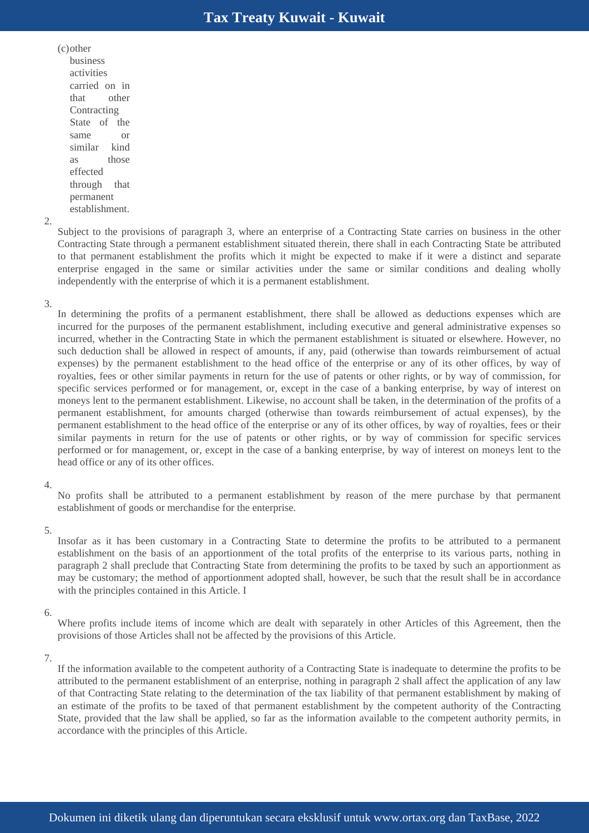(c)other business activities carried on in that other **Contracting** State of the same or similar kind as those effected through that permanent establishment.

#### 2.

Subject to the provisions of paragraph 3, where an enterprise of a Contracting State carries on business in the other Contracting State through a permanent establishment situated therein, there shall in each Contracting State be attributed to that permanent establishment the profits which it might be expected to make if it were a distinct and separate enterprise engaged in the same or similar activities under the same or similar conditions and dealing wholly independently with the enterprise of which it is a permanent establishment.

3.

In determining the profits of a permanent establishment, there shall be allowed as deductions expenses which are incurred for the purposes of the permanent establishment, including executive and general administrative expenses so incurred, whether in the Contracting State in which the permanent establishment is situated or elsewhere. However, no such deduction shall be allowed in respect of amounts, if any, paid (otherwise than towards reimbursement of actual expenses) by the permanent establishment to the head office of the enterprise or any of its other offices, by way of royalties, fees or other similar payments in return for the use of patents or other rights, or by way of commission, for specific services performed or for management, or, except in the case of a banking enterprise, by way of interest on moneys lent to the permanent establishment. Likewise, no account shall be taken, in the determination of the profits of a permanent establishment, for amounts charged (otherwise than towards reimbursement of actual expenses), by the permanent establishment to the head office of the enterprise or any of its other offices, by way of royalties, fees or their similar payments in return for the use of patents or other rights, or by way of commission for specific services performed or for management, or, except in the case of a banking enterprise, by way of interest on moneys lent to the head office or any of its other offices.

### 4.

No profits shall be attributed to a permanent establishment by reason of the mere purchase by that permanent establishment of goods or merchandise for the enterprise.

5.

Insofar as it has been customary in a Contracting State to determine the profits to be attributed to a permanent establishment on the basis of an apportionment of the total profits of the enterprise to its various parts, nothing in paragraph 2 shall preclude that Contracting State from determining the profits to be taxed by such an apportionment as may be customary; the method of apportionment adopted shall, however, be such that the result shall be in accordance with the principles contained in this Article. I

### 6.

Where profits include items of income which are dealt with separately in other Articles of this Agreement, then the provisions of those Articles shall not be affected by the provisions of this Article.

7.

If the information available to the competent authority of a Contracting State is inadequate to determine the profits to be attributed to the permanent establishment of an enterprise, nothing in paragraph 2 shall affect the application of any law of that Contracting State relating to the determination of the tax liability of that permanent establishment by making of an estimate of the profits to be taxed of that permanent establishment by the competent authority of the Contracting State, provided that the law shall be applied, so far as the information available to the competent authority permits, in accordance with the principles of this Article.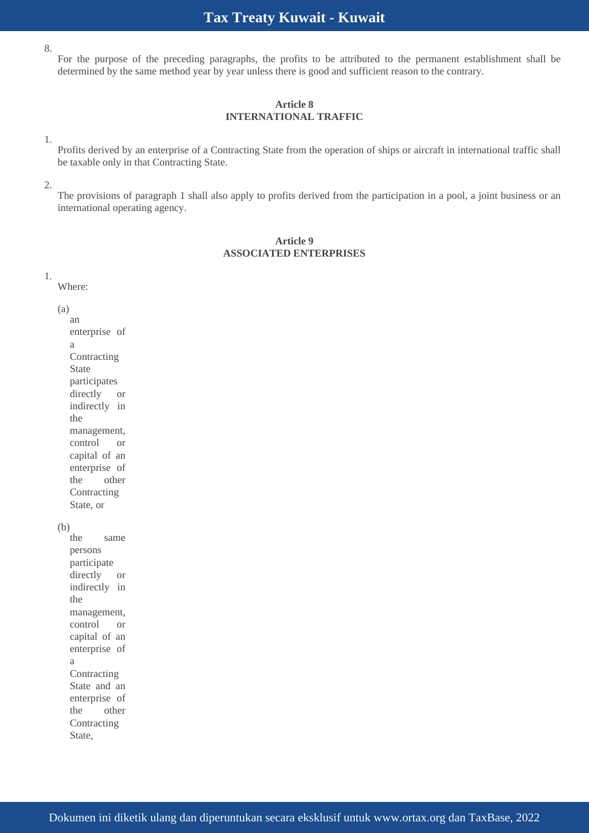For the purpose of the preceding paragraphs, the profits to be attributed to the permanent establishment shall be determined by the same method year by year unless there is good and sufficient reason to the contrary.

# **Article 8 INTERNATIONAL TRAFFIC**

1.

8.

Profits derived by an enterprise of a Contracting State from the operation of ships or aircraft in international traffic shall be taxable only in that Contracting State.

2.

The provisions of paragraph 1 shall also apply to profits derived from the participation in a pool, a joint business or an international operating agency.

# **Article 9 ASSOCIATED ENTERPRISES**

| ٠ |   |
|---|---|
|   | u |
|   |   |

Where:

(a)

an enterprise of a Contracting State participates directly or indirectly in the management, control or capital of an enterprise of the other Contracting State, or

(b)

the same persons participate directly or indirectly in the management, control or capital of an enterprise of a Contracting State and an enterprise of the other Contracting State,

Dokumen ini diketik ulang dan diperuntukan secara eksklusif untuk www.ortax.org dan TaxBase, 2022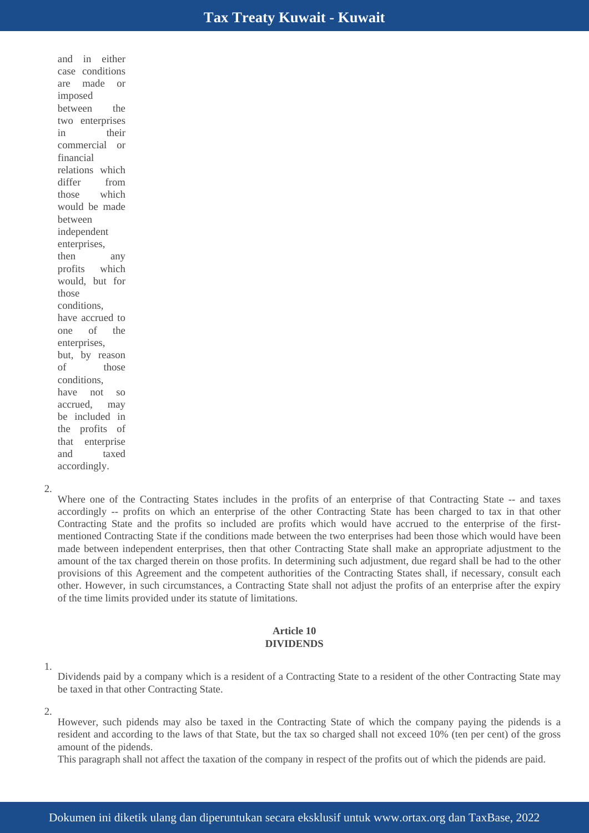and in either case conditions are made or imposed between the two enterprises in their commercial or financial relations which differ from those which would be made between independent enterprises, then any profits which would, but for those conditions, have accrued to one of the enterprises, but, by reason of those conditions, have not so accrued, may be included in the profits of that enterprise and taxed accordingly.

2.

Where one of the Contracting States includes in the profits of an enterprise of that Contracting State -- and taxes accordingly -- profits on which an enterprise of the other Contracting State has been charged to tax in that other Contracting State and the profits so included are profits which would have accrued to the enterprise of the firstmentioned Contracting State if the conditions made between the two enterprises had been those which would have been made between independent enterprises, then that other Contracting State shall make an appropriate adjustment to the amount of the tax charged therein on those profits. In determining such adjustment, due regard shall be had to the other provisions of this Agreement and the competent authorities of the Contracting States shall, if necessary, consult each other. However, in such circumstances, a Contracting State shall not adjust the profits of an enterprise after the expiry of the time limits provided under its statute of limitations.

## **Article 10 DIVIDENDS**

1.

Dividends paid by a company which is a resident of a Contracting State to a resident of the other Contracting State may be taxed in that other Contracting State.

 $\gamma$ 

However, such pidends may also be taxed in the Contracting State of which the company paying the pidends is a resident and according to the laws of that State, but the tax so charged shall not exceed 10% (ten per cent) of the gross amount of the pidends.

This paragraph shall not affect the taxation of the company in respect of the profits out of which the pidends are paid.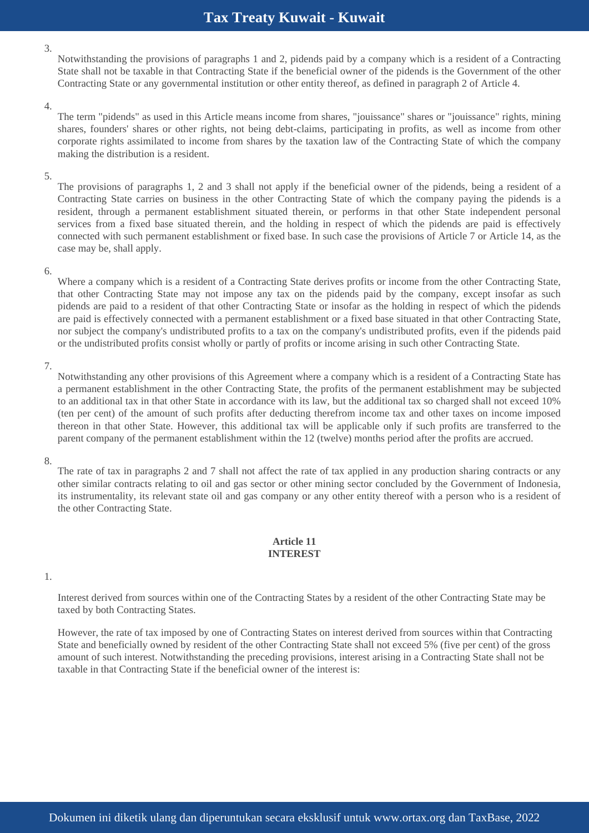Notwithstanding the provisions of paragraphs 1 and 2, pidends paid by a company which is a resident of a Contracting State shall not be taxable in that Contracting State if the beneficial owner of the pidends is the Government of the other Contracting State or any governmental institution or other entity thereof, as defined in paragraph 2 of Article 4.

### 4.

3.

The term "pidends" as used in this Article means income from shares, "jouissance" shares or "jouissance" rights, mining shares, founders' shares or other rights, not being debt-claims, participating in profits, as well as income from other corporate rights assimilated to income from shares by the taxation law of the Contracting State of which the company making the distribution is a resident.

5.

The provisions of paragraphs 1, 2 and 3 shall not apply if the beneficial owner of the pidends, being a resident of a Contracting State carries on business in the other Contracting State of which the company paying the pidends is a resident, through a permanent establishment situated therein, or performs in that other State independent personal services from a fixed base situated therein, and the holding in respect of which the pidends are paid is effectively connected with such permanent establishment or fixed base. In such case the provisions of Article 7 or Article 14, as the case may be, shall apply.

### 6.

Where a company which is a resident of a Contracting State derives profits or income from the other Contracting State, that other Contracting State may not impose any tax on the pidends paid by the company, except insofar as such pidends are paid to a resident of that other Contracting State or insofar as the holding in respect of which the pidends are paid is effectively connected with a permanent establishment or a fixed base situated in that other Contracting State, nor subject the company's undistributed profits to a tax on the company's undistributed profits, even if the pidends paid or the undistributed profits consist wholly or partly of profits or income arising in such other Contracting State.

7.

Notwithstanding any other provisions of this Agreement where a company which is a resident of a Contracting State has a permanent establishment in the other Contracting State, the profits of the permanent establishment may be subjected to an additional tax in that other State in accordance with its law, but the additional tax so charged shall not exceed 10% (ten per cent) of the amount of such profits after deducting therefrom income tax and other taxes on income imposed thereon in that other State. However, this additional tax will be applicable only if such profits are transferred to the parent company of the permanent establishment within the 12 (twelve) months period after the profits are accrued.

8.

The rate of tax in paragraphs 2 and 7 shall not affect the rate of tax applied in any production sharing contracts or any other similar contracts relating to oil and gas sector or other mining sector concluded by the Government of Indonesia, its instrumentality, its relevant state oil and gas company or any other entity thereof with a person who is a resident of the other Contracting State.

# **Article 11 INTEREST**

1.

Interest derived from sources within one of the Contracting States by a resident of the other Contracting State may be taxed by both Contracting States.

However, the rate of tax imposed by one of Contracting States on interest derived from sources within that Contracting State and beneficially owned by resident of the other Contracting State shall not exceed 5% (five per cent) of the gross amount of such interest. Notwithstanding the preceding provisions, interest arising in a Contracting State shall not be taxable in that Contracting State if the beneficial owner of the interest is: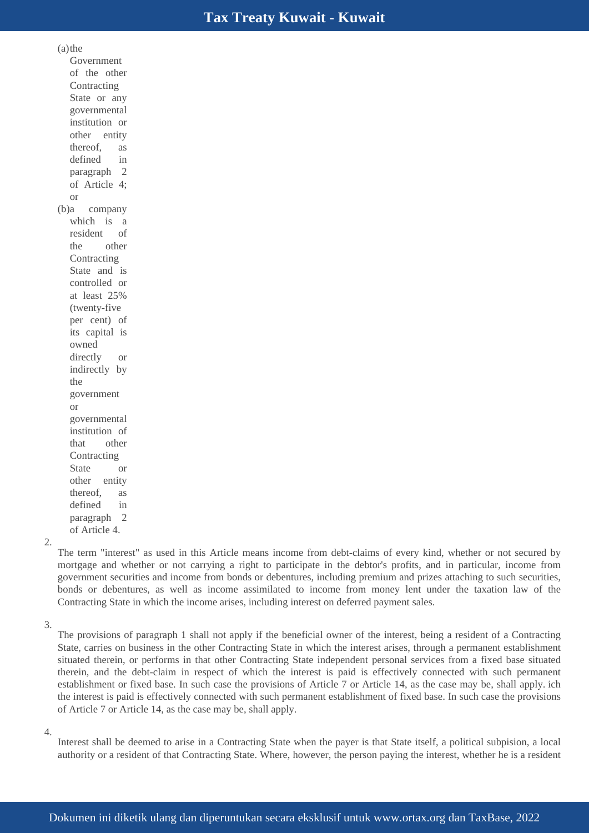(a)the Government of the other Contracting State or any governmental institution or other entity thereof, as defined in paragraph 2 of Article 4; or (b)a company which is a resident of the other **Contracting** State and is controlled or at least 25% (twenty-five per cent) of its capital is owned directly or indirectly by the government or governmental institution of that other **Contracting** State or other entity thereof, as defined in paragraph 2 of Article 4.

2.

The term "interest" as used in this Article means income from debt-claims of every kind, whether or not secured by mortgage and whether or not carrying a right to participate in the debtor's profits, and in particular, income from government securities and income from bonds or debentures, including premium and prizes attaching to such securities, bonds or debentures, as well as income assimilated to income from money lent under the taxation law of the Contracting State in which the income arises, including interest on deferred payment sales.

3.

The provisions of paragraph 1 shall not apply if the beneficial owner of the interest, being a resident of a Contracting State, carries on business in the other Contracting State in which the interest arises, through a permanent establishment situated therein, or performs in that other Contracting State independent personal services from a fixed base situated therein, and the debt-claim in respect of which the interest is paid is effectively connected with such permanent establishment or fixed base. In such case the provisions of Article 7 or Article 14, as the case may be, shall apply. ich the interest is paid is effectively connected with such permanent establishment of fixed base. In such case the provisions of Article 7 or Article 14, as the case may be, shall apply.

4.

Interest shall be deemed to arise in a Contracting State when the payer is that State itself, a political subpision, a local authority or a resident of that Contracting State. Where, however, the person paying the interest, whether he is a resident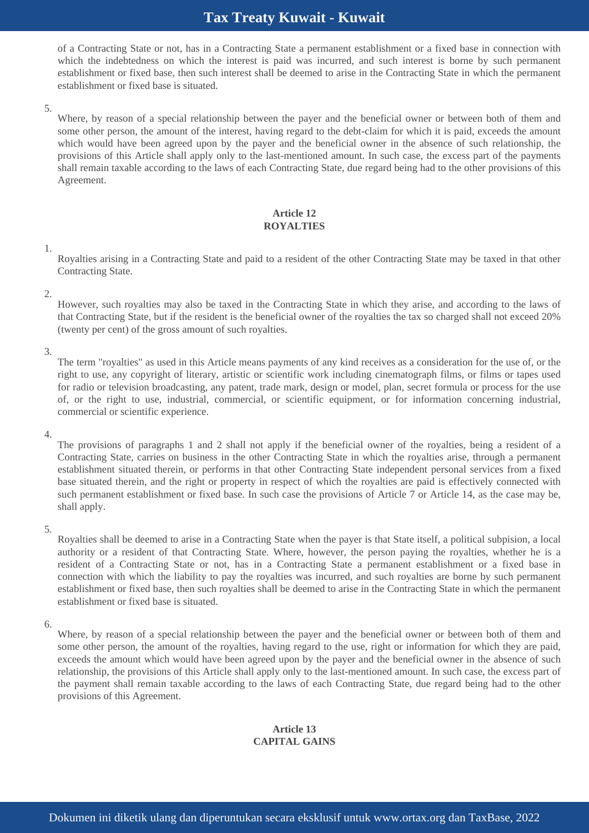of a Contracting State or not, has in a Contracting State a permanent establishment or a fixed base in connection with which the indebtedness on which the interest is paid was incurred, and such interest is borne by such permanent establishment or fixed base, then such interest shall be deemed to arise in the Contracting State in which the permanent establishment or fixed base is situated.

5.

Where, by reason of a special relationship between the payer and the beneficial owner or between both of them and some other person, the amount of the interest, having regard to the debt-claim for which it is paid, exceeds the amount which would have been agreed upon by the payer and the beneficial owner in the absence of such relationship, the provisions of this Article shall apply only to the last-mentioned amount. In such case, the excess part of the payments shall remain taxable according to the laws of each Contracting State, due regard being had to the other provisions of this Agreement.

# **Article 12 ROYALTIES**

1.

Royalties arising in a Contracting State and paid to a resident of the other Contracting State may be taxed in that other Contracting State.

2.

However, such royalties may also be taxed in the Contracting State in which they arise, and according to the laws of that Contracting State, but if the resident is the beneficial owner of the royalties the tax so charged shall not exceed 20% (twenty per cent) of the gross amount of such royalties.

3.

The term "royalties" as used in this Article means payments of any kind receives as a consideration for the use of, or the right to use, any copyright of literary, artistic or scientific work including cinematograph films, or films or tapes used for radio or television broadcasting, any patent, trade mark, design or model, plan, secret formula or process for the use of, or the right to use, industrial, commercial, or scientific equipment, or for information concerning industrial, commercial or scientific experience.

4.

The provisions of paragraphs 1 and 2 shall not apply if the beneficial owner of the royalties, being a resident of a Contracting State, carries on business in the other Contracting State in which the royalties arise, through a permanent establishment situated therein, or performs in that other Contracting State independent personal services from a fixed base situated therein, and the right or property in respect of which the royalties are paid is effectively connected with such permanent establishment or fixed base. In such case the provisions of Article 7 or Article 14, as the case may be, shall apply.

5.

Royalties shall be deemed to arise in a Contracting State when the payer is that State itself, a political subpision, a local authority or a resident of that Contracting State. Where, however, the person paying the royalties, whether he is a resident of a Contracting State or not, has in a Contracting State a permanent establishment or a fixed base in connection with which the liability to pay the royalties was incurred, and such royalties are borne by such permanent establishment or fixed base, then such royalties shall be deemed to arise in the Contracting State in which the permanent establishment or fixed base is situated.

6.

Where, by reason of a special relationship between the payer and the beneficial owner or between both of them and some other person, the amount of the royalties, having regard to the use, right or information for which they are paid, exceeds the amount which would have been agreed upon by the payer and the beneficial owner in the absence of such relationship, the provisions of this Article shall apply only to the last-mentioned amount. In such case, the excess part of the payment shall remain taxable according to the laws of each Contracting State, due regard being had to the other provisions of this Agreement.

# **Article 13 CAPITAL GAINS**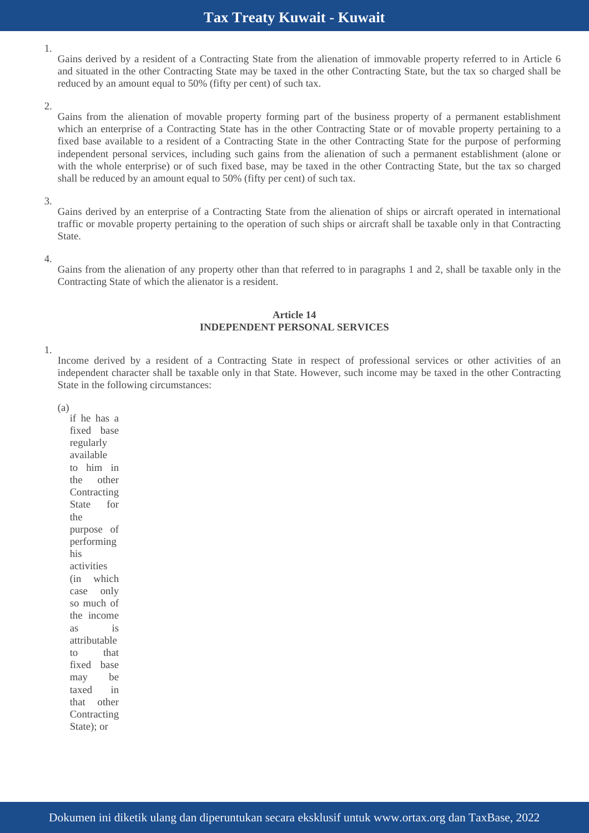Gains derived by a resident of a Contracting State from the alienation of immovable property referred to in Article 6 and situated in the other Contracting State may be taxed in the other Contracting State, but the tax so charged shall be reduced by an amount equal to 50% (fifty per cent) of such tax.

2.

1.

Gains from the alienation of movable property forming part of the business property of a permanent establishment which an enterprise of a Contracting State has in the other Contracting State or of movable property pertaining to a fixed base available to a resident of a Contracting State in the other Contracting State for the purpose of performing independent personal services, including such gains from the alienation of such a permanent establishment (alone or with the whole enterprise) or of such fixed base, may be taxed in the other Contracting State, but the tax so charged shall be reduced by an amount equal to 50% (fifty per cent) of such tax.

### 3.

Gains derived by an enterprise of a Contracting State from the alienation of ships or aircraft operated in international traffic or movable property pertaining to the operation of such ships or aircraft shall be taxable only in that Contracting State.

4.

Gains from the alienation of any property other than that referred to in paragraphs 1 and 2, shall be taxable only in the Contracting State of which the alienator is a resident.

# **Article 14 INDEPENDENT PERSONAL SERVICES**

1.

Income derived by a resident of a Contracting State in respect of professional services or other activities of an independent character shall be taxable only in that State. However, such income may be taxed in the other Contracting State in the following circumstances:

(a)

if he has a fixed base regularly available to him in the other Contracting State for the purpose of performing his activities (in which case only so much of the income as is attributable to that fixed base may be taxed in that other Contracting State); or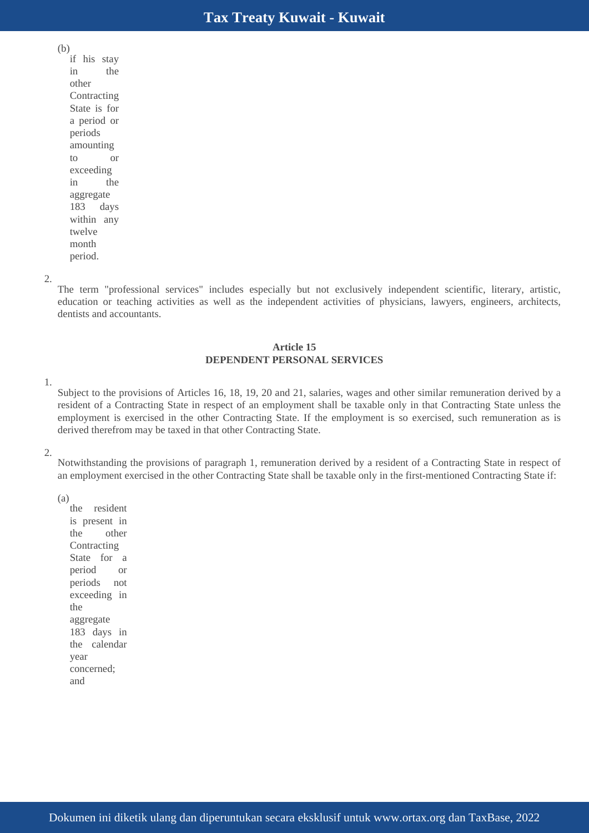(b) if his stay in the other Contracting State is for a period or periods amounting to or exceeding in the aggregate 183 days within any twelve month period.

2.

The term "professional services" includes especially but not exclusively independent scientific, literary, artistic, education or teaching activities as well as the independent activities of physicians, lawyers, engineers, architects, dentists and accountants.

# **Article 15 DEPENDENT PERSONAL SERVICES**

1.

Subject to the provisions of Articles 16, 18, 19, 20 and 21, salaries, wages and other similar remuneration derived by a resident of a Contracting State in respect of an employment shall be taxable only in that Contracting State unless the employment is exercised in the other Contracting State. If the employment is so exercised, such remuneration as is derived therefrom may be taxed in that other Contracting State.

2.

Notwithstanding the provisions of paragraph 1, remuneration derived by a resident of a Contracting State in respect of an employment exercised in the other Contracting State shall be taxable only in the first-mentioned Contracting State if:

(a)

the resident is present in the other Contracting State for a period or periods not exceeding in the aggregate 183 days in the calendar year concerned; and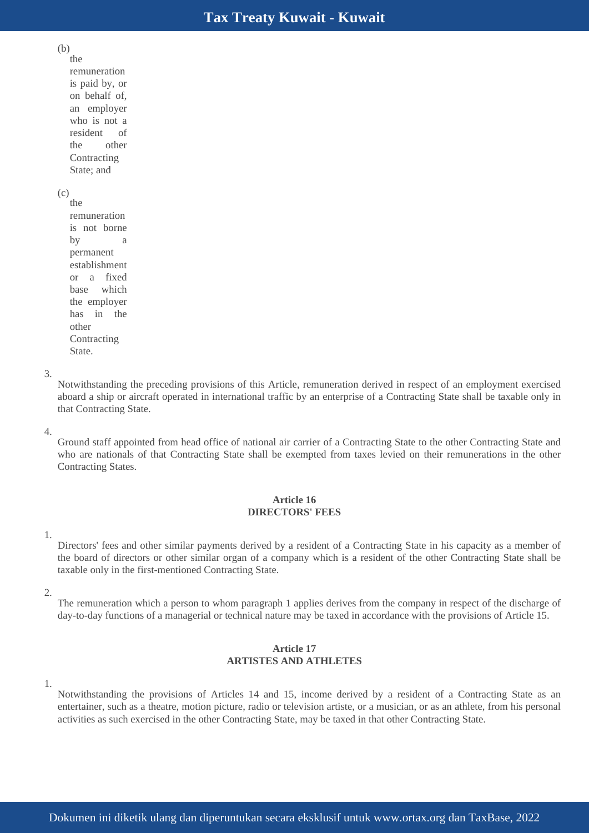(b)

the remuneration is paid by, or on behalf of, an employer who is not a resident of the other Contracting State; and

# (c)

the remuneration is not borne by a permanent establishment or a fixed base which the employer has in the other Contracting State.

3.

Notwithstanding the preceding provisions of this Article, remuneration derived in respect of an employment exercised aboard a ship or aircraft operated in international traffic by an enterprise of a Contracting State shall be taxable only in that Contracting State.

4.

Ground staff appointed from head office of national air carrier of a Contracting State to the other Contracting State and who are nationals of that Contracting State shall be exempted from taxes levied on their remunerations in the other Contracting States.

### **Article 16 DIRECTORS' FEES**

1.

Directors' fees and other similar payments derived by a resident of a Contracting State in his capacity as a member of the board of directors or other similar organ of a company which is a resident of the other Contracting State shall be taxable only in the first-mentioned Contracting State.

2.

The remuneration which a person to whom paragraph 1 applies derives from the company in respect of the discharge of day-to-day functions of a managerial or technical nature may be taxed in accordance with the provisions of Article 15.

# **Article 17 ARTISTES AND ATHLETES**

1.

Notwithstanding the provisions of Articles 14 and 15, income derived by a resident of a Contracting State as an entertainer, such as a theatre, motion picture, radio or television artiste, or a musician, or as an athlete, from his personal activities as such exercised in the other Contracting State, may be taxed in that other Contracting State.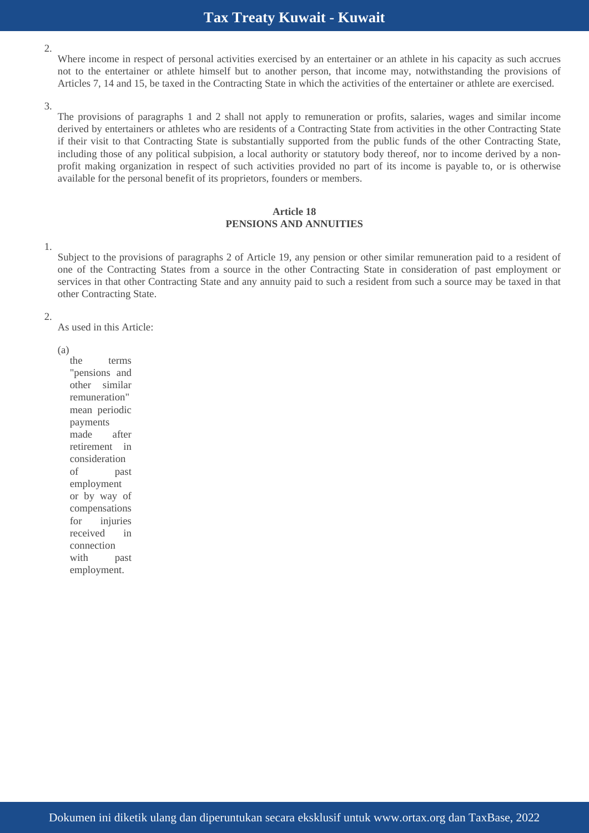Where income in respect of personal activities exercised by an entertainer or an athlete in his capacity as such accrues not to the entertainer or athlete himself but to another person, that income may, notwithstanding the provisions of Articles 7, 14 and 15, be taxed in the Contracting State in which the activities of the entertainer or athlete are exercised.

3.

2.

The provisions of paragraphs 1 and 2 shall not apply to remuneration or profits, salaries, wages and similar income derived by entertainers or athletes who are residents of a Contracting State from activities in the other Contracting State if their visit to that Contracting State is substantially supported from the public funds of the other Contracting State, including those of any political subpision, a local authority or statutory body thereof, nor to income derived by a nonprofit making organization in respect of such activities provided no part of its income is payable to, or is otherwise available for the personal benefit of its proprietors, founders or members.

# **Article 18 PENSIONS AND ANNUITIES**

1.

Subject to the provisions of paragraphs 2 of Article 19, any pension or other similar remuneration paid to a resident of one of the Contracting States from a source in the other Contracting State in consideration of past employment or services in that other Contracting State and any annuity paid to such a resident from such a source may be taxed in that other Contracting State.

#### 2.

As used in this Article:

(a)

the terms "pensions and other similar remuneration" mean periodic payments made after retirement in consideration of past employment or by way of compensations for injuries received in connection with past employment.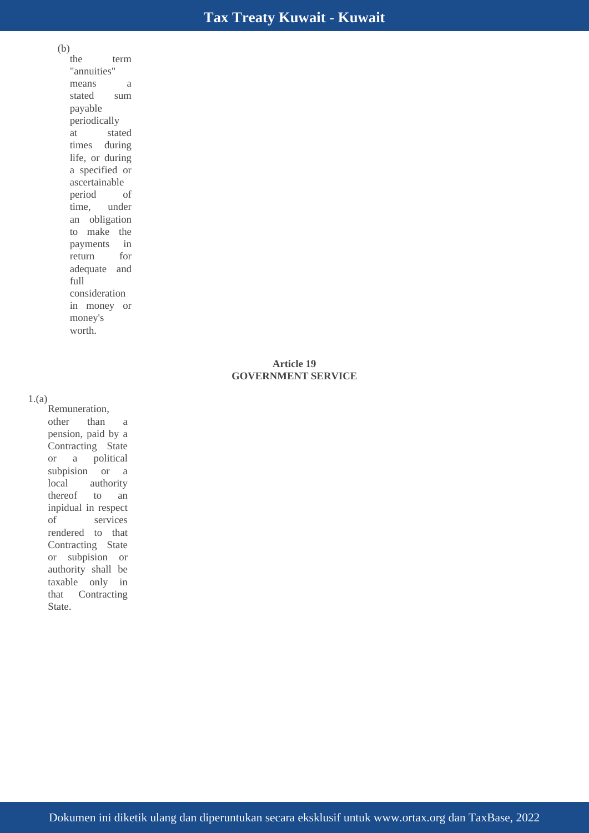$(b)$ <br>the term "annuities" means a stated sum payable periodically at stated times during life, or during a specified or ascertainable period of<br>time, under time, an obligation to make the payments in return for adequate and full consideration in money or money's worth.

# **Article 19 GOVERNMENT SERVICE**

## 1.(a)

Remuneration, other than a pension, paid by a Contracting State or a political subpision or a local authority thereof to an inpidual in respect of services rendered to that Contracting State or subpision or authority shall be taxable only in that Contracting State.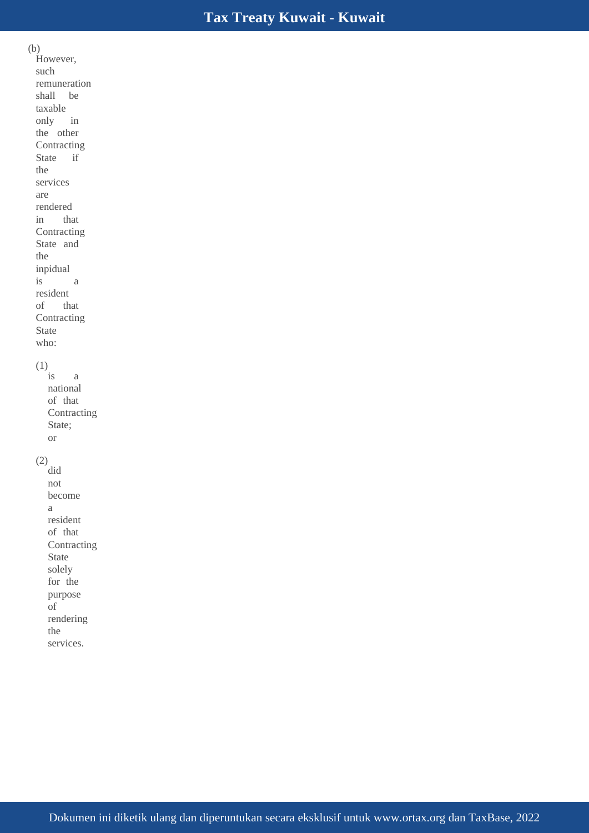(b) However, such remuneration shall be taxable only in the other **Contracting** State if the services are rendered in that Contracting State and the inpidual is a resident of that Contracting State who:

(1)

is a national of that Contracting State; or

(2)

did not become a resident of that Contracting State solely for the purpose of rendering the services.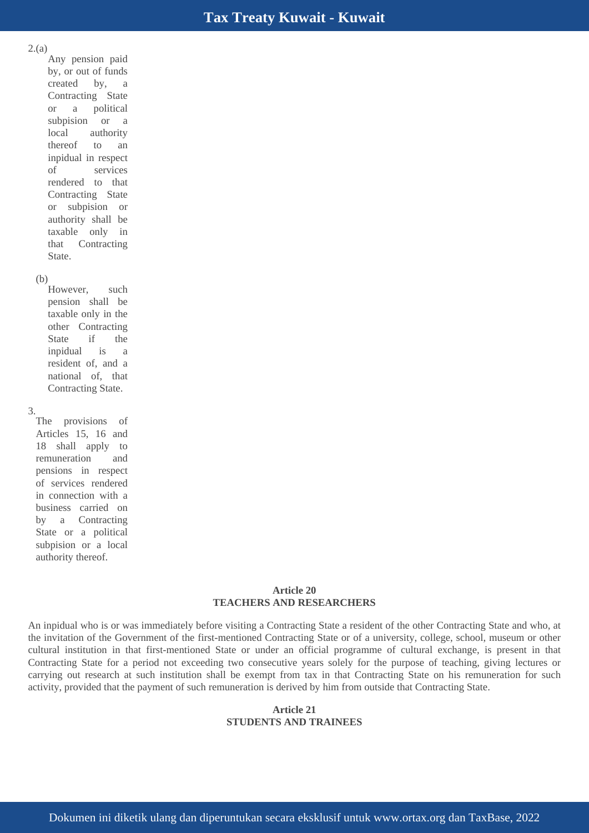$2(a)$ 

Any pension paid by, or out of funds created by, a Contracting State or a political subpision or a local authority thereof to an inpidual in respect of services rendered to that Contracting State or subpision or authority shall be taxable only in that Contracting State.

#### (b)

However, such pension shall be taxable only in the other Contracting State if the inpidual is a resident of, and a national of, that Contracting State.

3.

The provisions of Articles 15, 16 and 18 shall apply to remuneration and pensions in respect of services rendered in connection with a business carried on by a Contracting State or a political subpision or a local authority thereof.

# **Article 20 TEACHERS AND RESEARCHERS**

An inpidual who is or was immediately before visiting a Contracting State a resident of the other Contracting State and who, at the invitation of the Government of the first-mentioned Contracting State or of a university, college, school, museum or other cultural institution in that first-mentioned State or under an official programme of cultural exchange, is present in that Contracting State for a period not exceeding two consecutive years solely for the purpose of teaching, giving lectures or carrying out research at such institution shall be exempt from tax in that Contracting State on his remuneration for such activity, provided that the payment of such remuneration is derived by him from outside that Contracting State.

### **Article 21 STUDENTS AND TRAINEES**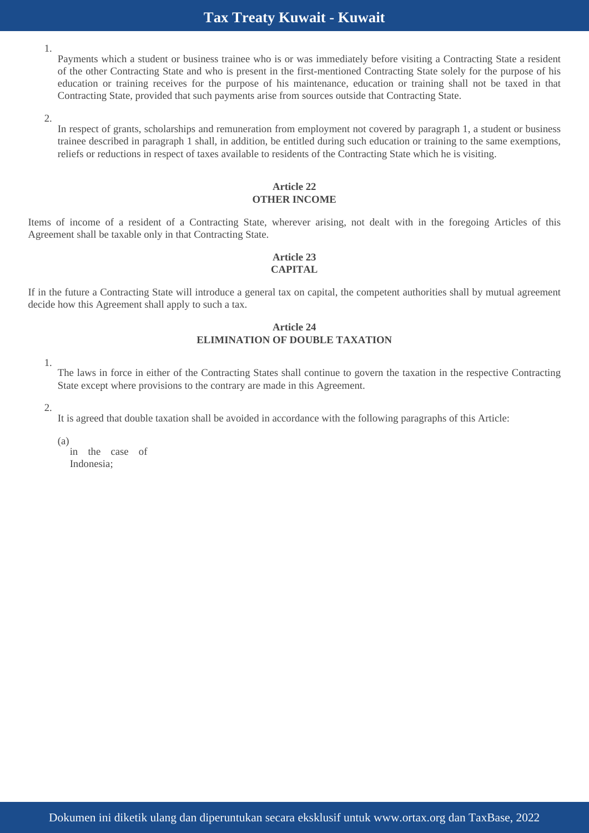1. Payments which a student or business trainee who is or was immediately before visiting a Contracting State a resident of the other Contracting State and who is present in the first-mentioned Contracting State solely for the purpose of his education or training receives for the purpose of his maintenance, education or training shall not be taxed in that Contracting State, provided that such payments arise from sources outside that Contracting State.

2.

In respect of grants, scholarships and remuneration from employment not covered by paragraph 1, a student or business trainee described in paragraph 1 shall, in addition, be entitled during such education or training to the same exemptions, reliefs or reductions in respect of taxes available to residents of the Contracting State which he is visiting.

## **Article 22 OTHER INCOME**

Items of income of a resident of a Contracting State, wherever arising, not dealt with in the foregoing Articles of this Agreement shall be taxable only in that Contracting State.

### **Article 23 CAPITAL**

If in the future a Contracting State will introduce a general tax on capital, the competent authorities shall by mutual agreement decide how this Agreement shall apply to such a tax.

# **Article 24 ELIMINATION OF DOUBLE TAXATION**

1.

The laws in force in either of the Contracting States shall continue to govern the taxation in the respective Contracting State except where provisions to the contrary are made in this Agreement.

2.

It is agreed that double taxation shall be avoided in accordance with the following paragraphs of this Article:

(a)

in the case of Indonesia;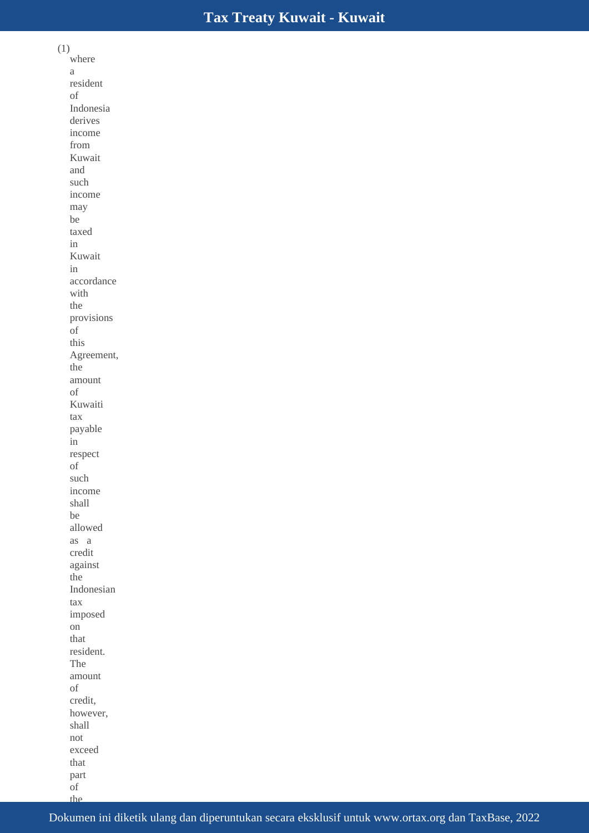(1) where a resident of Indonesia derives income from Kuwait and such income may be taxed in Kuwait in accordance with the provisions of this Agreement, the amount of Kuwaiti tax payable in respect of such income shall be allowed as a credit against the Indonesian tax imposed on that resident. The amount of credit, however, shall not exceed that part

> of the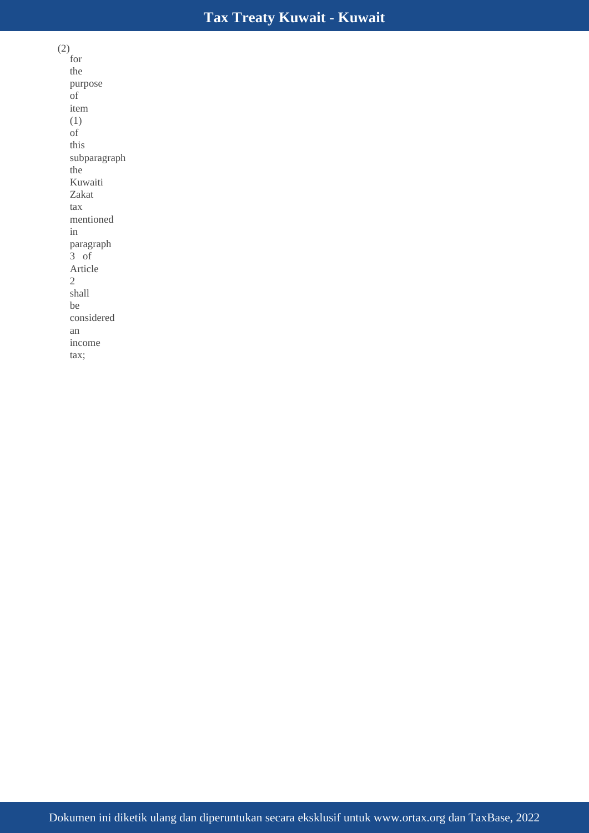(2) for the purpose of item (1) of this subparagraph the Kuwaiti Zakat tax mentioned in paragraph 3 of Article 2 shall be considered an income tax;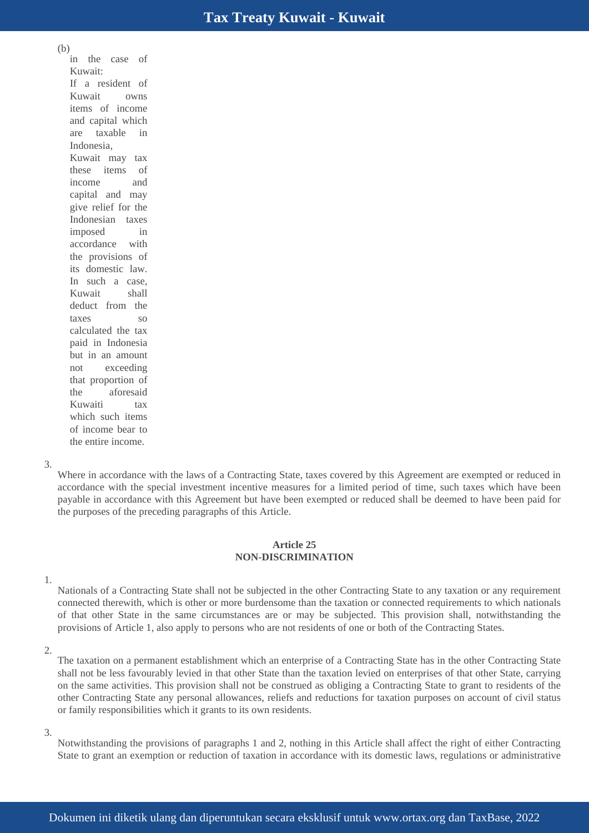(b)

in the case of Kuwait: If a resident of Kuwait owns items of income and capital which are taxable in Indonesia, Kuwait may tax these items of income and capital and may give relief for the Indonesian taxes imposed in accordance with the provisions of its domestic law. In such a case, Kuwait shall deduct from the taxes so calculated the tax paid in Indonesia but in an amount not exceeding that proportion of the aforesaid Kuwaiti tax which such items of income bear to the entire income.

3.

Where in accordance with the laws of a Contracting State, taxes covered by this Agreement are exempted or reduced in accordance with the special investment incentive measures for a limited period of time, such taxes which have been payable in accordance with this Agreement but have been exempted or reduced shall be deemed to have been paid for the purposes of the preceding paragraphs of this Article.

# **Article 25 NON-DISCRIMINATION**

1.

Nationals of a Contracting State shall not be subjected in the other Contracting State to any taxation or any requirement connected therewith, which is other or more burdensome than the taxation or connected requirements to which nationals of that other State in the same circumstances are or may be subjected. This provision shall, notwithstanding the provisions of Article 1, also apply to persons who are not residents of one or both of the Contracting States.

2.

The taxation on a permanent establishment which an enterprise of a Contracting State has in the other Contracting State shall not be less favourably levied in that other State than the taxation levied on enterprises of that other State, carrying on the same activities. This provision shall not be construed as obliging a Contracting State to grant to residents of the other Contracting State any personal allowances, reliefs and reductions for taxation purposes on account of civil status or family responsibilities which it grants to its own residents.

3.

Notwithstanding the provisions of paragraphs 1 and 2, nothing in this Article shall affect the right of either Contracting State to grant an exemption or reduction of taxation in accordance with its domestic laws, regulations or administrative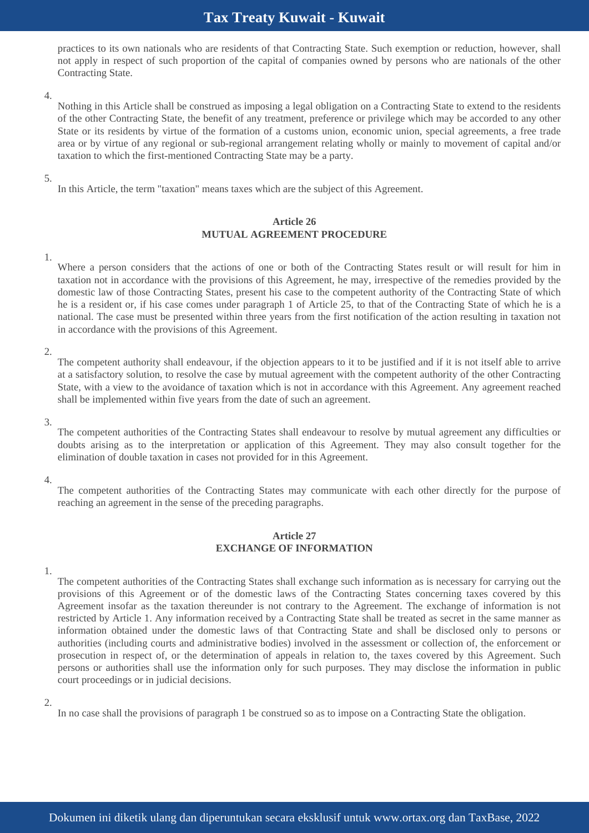practices to its own nationals who are residents of that Contracting State. Such exemption or reduction, however, shall not apply in respect of such proportion of the capital of companies owned by persons who are nationals of the other Contracting State.

4.

Nothing in this Article shall be construed as imposing a legal obligation on a Contracting State to extend to the residents of the other Contracting State, the benefit of any treatment, preference or privilege which may be accorded to any other State or its residents by virtue of the formation of a customs union, economic union, special agreements, a free trade area or by virtue of any regional or sub-regional arrangement relating wholly or mainly to movement of capital and/or taxation to which the first-mentioned Contracting State may be a party.

5.

In this Article, the term "taxation" means taxes which are the subject of this Agreement.

# **Article 26 MUTUAL AGREEMENT PROCEDURE**

1.

Where a person considers that the actions of one or both of the Contracting States result or will result for him in taxation not in accordance with the provisions of this Agreement, he may, irrespective of the remedies provided by the domestic law of those Contracting States, present his case to the competent authority of the Contracting State of which he is a resident or, if his case comes under paragraph 1 of Article 25, to that of the Contracting State of which he is a national. The case must be presented within three years from the first notification of the action resulting in taxation not in accordance with the provisions of this Agreement.

2.

The competent authority shall endeavour, if the objection appears to it to be justified and if it is not itself able to arrive at a satisfactory solution, to resolve the case by mutual agreement with the competent authority of the other Contracting State, with a view to the avoidance of taxation which is not in accordance with this Agreement. Any agreement reached shall be implemented within five years from the date of such an agreement.

3.

The competent authorities of the Contracting States shall endeavour to resolve by mutual agreement any difficulties or doubts arising as to the interpretation or application of this Agreement. They may also consult together for the elimination of double taxation in cases not provided for in this Agreement.

### 4.

The competent authorities of the Contracting States may communicate with each other directly for the purpose of reaching an agreement in the sense of the preceding paragraphs.

# **Article 27 EXCHANGE OF INFORMATION**

1.

The competent authorities of the Contracting States shall exchange such information as is necessary for carrying out the provisions of this Agreement or of the domestic laws of the Contracting States concerning taxes covered by this Agreement insofar as the taxation thereunder is not contrary to the Agreement. The exchange of information is not restricted by Article 1. Any information received by a Contracting State shall be treated as secret in the same manner as information obtained under the domestic laws of that Contracting State and shall be disclosed only to persons or authorities (including courts and administrative bodies) involved in the assessment or collection of, the enforcement or prosecution in respect of, or the determination of appeals in relation to, the taxes covered by this Agreement. Such persons or authorities shall use the information only for such purposes. They may disclose the information in public court proceedings or in judicial decisions.

2.

In no case shall the provisions of paragraph 1 be construed so as to impose on a Contracting State the obligation.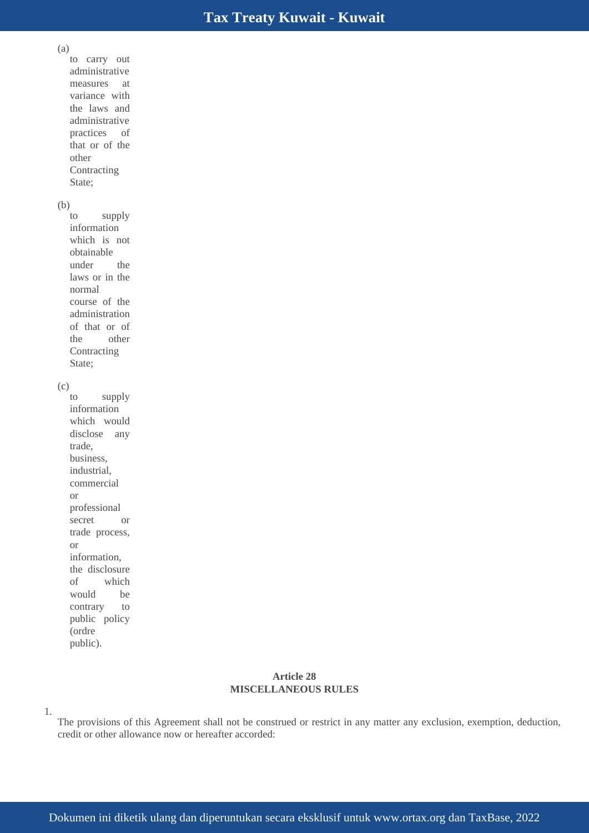(a)

to carry out administrative measures at variance with the laws and administrative practices of that or of the other Contracting State;

# $(b)$ <sub>to</sub>

supply information which is not obtainable under the laws or in the normal course of the administration of that or of the other Contracting State;

 $\frac{c}{\hbar}$ supply information which would disclose any trade, business, industrial, commercial or professional secret or trade process, or information, the disclosure of which would be contrary to public policy (ordre public).

# **Article 28 MISCELLANEOUS RULES**

1.

The provisions of this Agreement shall not be construed or restrict in any matter any exclusion, exemption, deduction, credit or other allowance now or hereafter accorded: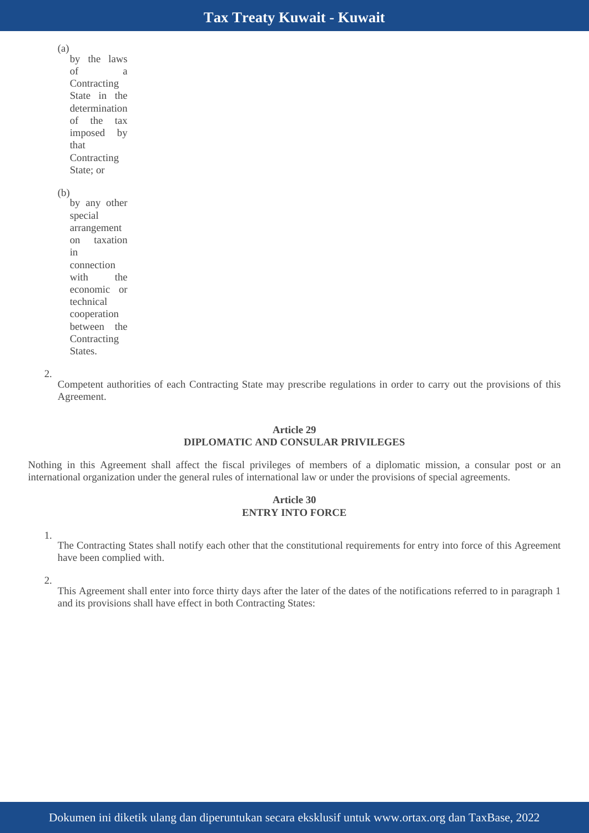(a) by the laws of a Contracting State in the determination of the tax imposed by that Contracting State; or

### (b)

by any other special arrangement on taxation in connection with the economic or technical cooperation between the Contracting States.

2.

Competent authorities of each Contracting State may prescribe regulations in order to carry out the provisions of this Agreement.

# **Article 29**

# **DIPLOMATIC AND CONSULAR PRIVILEGES**

Nothing in this Agreement shall affect the fiscal privileges of members of a diplomatic mission, a consular post or an international organization under the general rules of international law or under the provisions of special agreements.

### **Article 30 ENTRY INTO FORCE**

1.

The Contracting States shall notify each other that the constitutional requirements for entry into force of this Agreement have been complied with.

2.

This Agreement shall enter into force thirty days after the later of the dates of the notifications referred to in paragraph 1 and its provisions shall have effect in both Contracting States: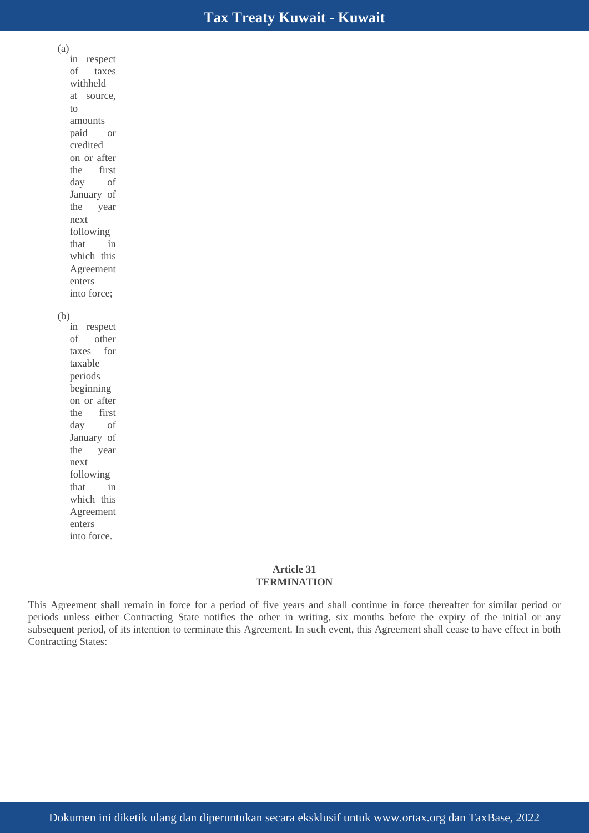(a) in respect of taxes withheld at source, to amounts paid or credited on or after the first day of January of the year next following that in which this Agreement enters into force;

### (b)

in respect of other taxes for taxable periods beginning on or after the first day of January of the year next following that in which this Agreement enters into force.

# **Article 31 TERMINATION**

This Agreement shall remain in force for a period of five years and shall continue in force thereafter for similar period or periods unless either Contracting State notifies the other in writing, six months before the expiry of the initial or any subsequent period, of its intention to terminate this Agreement. In such event, this Agreement shall cease to have effect in both Contracting States: